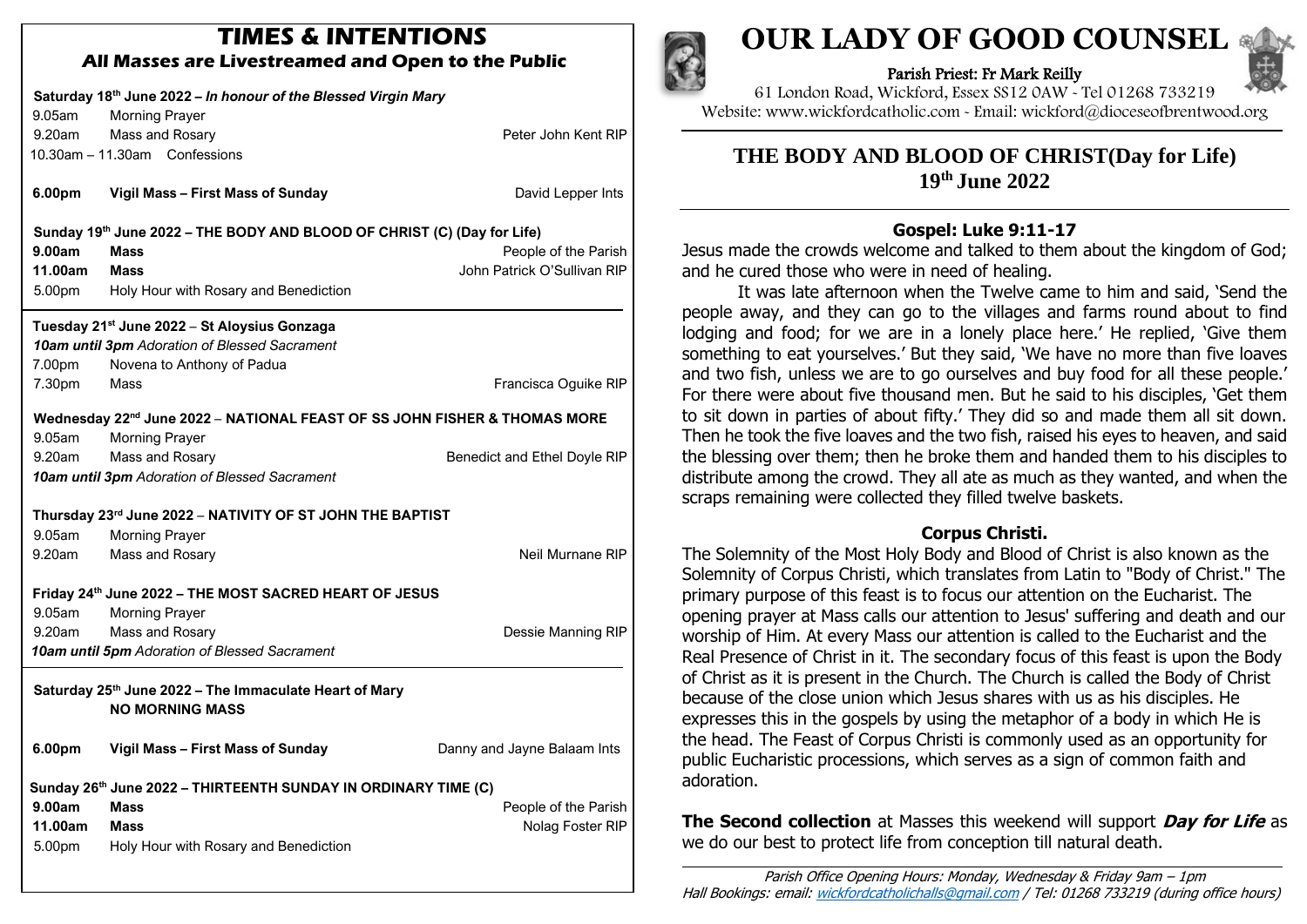# **TIMES & INTENTIONS All Masses are Livestreamed and Open to the Public**

| Saturday 18th June 2022 - In honour of the Blessed Virgin Mary<br>9.05am<br><b>Morning Prayer</b><br>Mass and Rosary<br>9.20am<br>Peter John Kent RIP |                                                                                                                                                |                                                     |
|-------------------------------------------------------------------------------------------------------------------------------------------------------|------------------------------------------------------------------------------------------------------------------------------------------------|-----------------------------------------------------|
|                                                                                                                                                       | 10.30am - 11.30am Confessions                                                                                                                  |                                                     |
| 6.00pm                                                                                                                                                | Vigil Mass - First Mass of Sunday                                                                                                              | David Lepper Ints                                   |
| 9.00am<br>11.00am<br>5.00pm                                                                                                                           | Sunday 19th June 2022 - THE BODY AND BLOOD OF CHRIST (C) (Day for Life)<br><b>Mass</b><br><b>Mass</b><br>Holy Hour with Rosary and Benediction | People of the Parish<br>John Patrick O'Sullivan RIP |
| Tuesday 21 <sup>st</sup> June 2022 - St Aloysius Gonzaga<br>10am until 3pm Adoration of Blessed Sacrament                                             |                                                                                                                                                |                                                     |
| 7.00pm                                                                                                                                                | Novena to Anthony of Padua                                                                                                                     |                                                     |
| 7.30pm                                                                                                                                                | Mass                                                                                                                                           | Francisca Oguike RIP                                |
| Wednesday 22 <sup>nd</sup> June 2022 - NATIONAL FEAST OF SS JOHN FISHER & THOMAS MORE                                                                 |                                                                                                                                                |                                                     |
| 9.05am                                                                                                                                                | <b>Morning Prayer</b>                                                                                                                          |                                                     |
| 9.20am                                                                                                                                                | Mass and Rosary                                                                                                                                | Benedict and Ethel Doyle RIP                        |
|                                                                                                                                                       | 10am until 3pm Adoration of Blessed Sacrament                                                                                                  |                                                     |
| Thursday 23rd June 2022 - NATIVITY OF ST JOHN THE BAPTIST                                                                                             |                                                                                                                                                |                                                     |
| 9.05am                                                                                                                                                | <b>Morning Prayer</b>                                                                                                                          |                                                     |
| 9.20am                                                                                                                                                | Mass and Rosary                                                                                                                                | Neil Murnane RIP                                    |
| Friday 24th June 2022 - THE MOST SACRED HEART OF JESUS<br>9.05am<br><b>Morning Prayer</b>                                                             |                                                                                                                                                |                                                     |
| 9.20am                                                                                                                                                | Mass and Rosary                                                                                                                                | Dessie Manning RIP                                  |
|                                                                                                                                                       | 10am until 5pm Adoration of Blessed Sacrament                                                                                                  |                                                     |
| Saturday 25th June 2022 - The Immaculate Heart of Mary<br><b>NO MORNING MASS</b>                                                                      |                                                                                                                                                |                                                     |
| 6.00pm                                                                                                                                                | Vigil Mass - First Mass of Sunday                                                                                                              | Danny and Jayne Balaam Ints                         |
| Sunday 26th June 2022 - THIRTEENTH SUNDAY IN ORDINARY TIME (C)                                                                                        |                                                                                                                                                |                                                     |
| 9.00am                                                                                                                                                | <b>Mass</b>                                                                                                                                    | People of the Parish                                |
| 11.00am                                                                                                                                               | <b>Mass</b>                                                                                                                                    | Nolag Foster RIP                                    |
| 5.00pm                                                                                                                                                | Holy Hour with Rosary and Benediction                                                                                                          |                                                     |
|                                                                                                                                                       |                                                                                                                                                |                                                     |



# **OUR LADY OF GOOD COUNSEL**

Parish Priest: Fr Mark Reilly



61 London Road, Wickford, Essex SS12 0AW ~ Tel 01268 733219 Website: www.wickfordcatholic.com ~ Email: wickford@dioceseofbrentwood.org

**THE BODY AND BLOOD OF CHRIST(Day for Life) 19 th June 2022**

**Gospel: Luke 9:11-17** Jesus made the crowds welcome and talked to them about the kingdom of God;

and he cured those who were in need of healing. It was late afternoon when the Twelve came to him and said, 'Send the people away, and they can go to the villages and farms round about to find lodging and food; for we are in a lonely place here.' He replied, 'Give them something to eat yourselves.' But they said, 'We have no more than five loaves and two fish, unless we are to go ourselves and buy food for all these people.' For there were about five thousand men. But he said to his disciples, 'Get them to sit down in parties of about fifty.' They did so and made them all sit down. Then he took the five loaves and the two fish, raised his eyes to heaven, and said the blessing over them; then he broke them and handed them to his disciples to distribute among the crowd. They all ate as much as they wanted, and when the scraps remaining were collected they filled twelve baskets.

# **Corpus Christi.**

The Solemnity of the Most Holy Body and Blood of Christ is also known as the Solemnity of Corpus Christi, which translates from Latin to "Body of Christ." The primary purpose of this feast is to focus our attention on the Eucharist. The opening prayer at Mass calls our attention to Jesus' suffering and death and our worship of Him. At every Mass our attention is called to the Eucharist and the Real Presence of Christ in it. The secondary focus of this feast is upon the Body of Christ as it is present in the Church. The Church is called the Body of Christ because of the close union which Jesus shares with us as his disciples. He expresses this in the gospels by using the metaphor of a body in which He is the head. The Feast of Corpus Christi is commonly used as an opportunity for public Eucharistic processions, which serves as a sign of common faith and adoration.

**The Second collection** at Masses this weekend will support **Day for Life** as we do our best to protect life from conception till natural death.

Parish Office Opening Hours: Monday, Wednesday & Friday 9am – 1pm Hall Bookings: email: [wickfordcatholichalls@gmail.com](mailto:wickfordcatholichalls@gmail.com) / Tel: 01268 733219 (during office hours)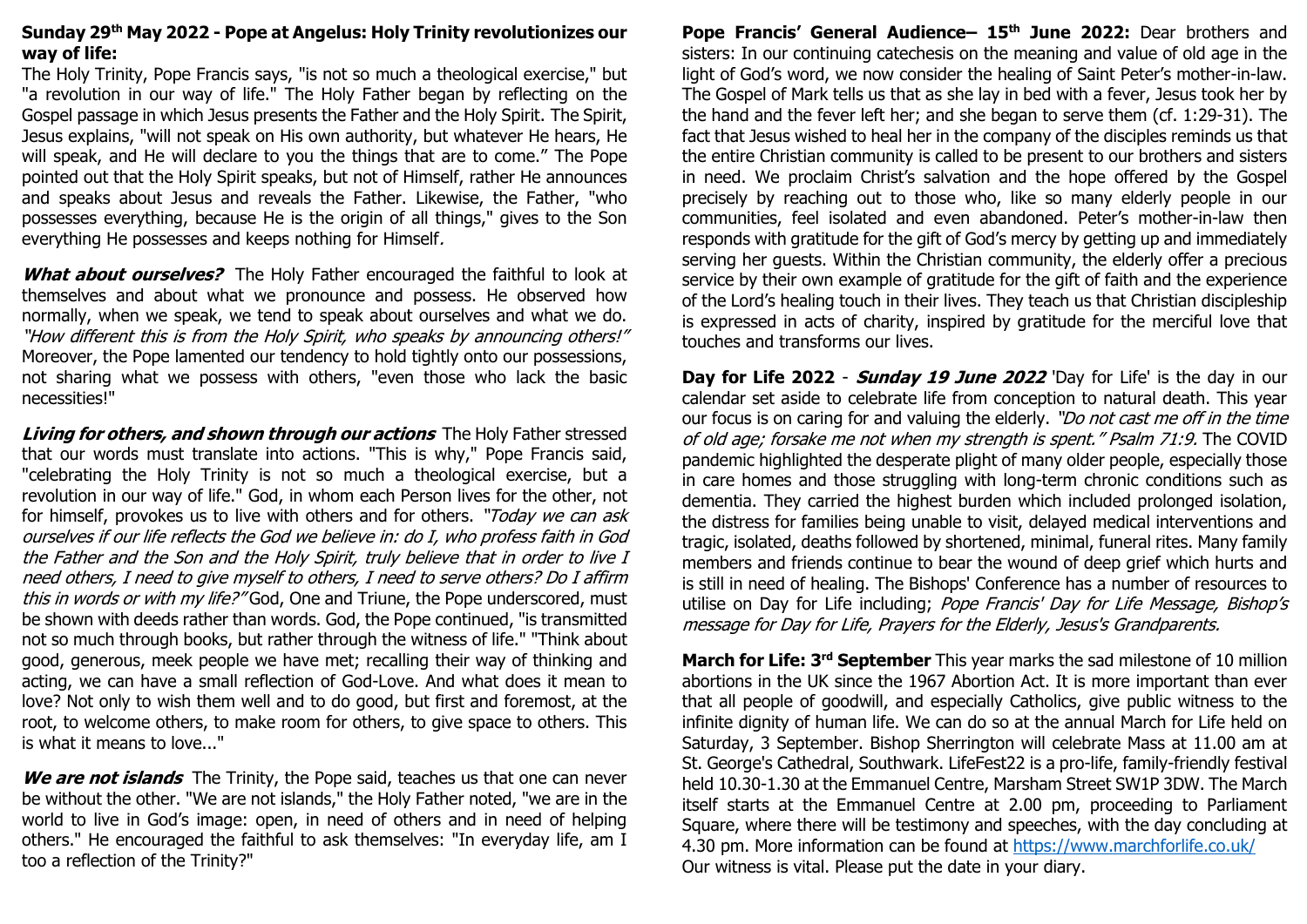### **Sunday 29 th May 2022 - Pope at Angelus: Holy Trinity revolutionizes our way of life:**

The Holy Trinity, Pope Francis says, "is not so much a theological exercise," but "a revolution in our way of life." The Holy Father began by reflecting on the Gospel passage in which Jesus presents the Father and the Holy Spirit. The Spirit, Jesus explains, "will not speak on His own authority, but whatever He hears, He will speak, and He will declare to you the things that are to come." The Pope pointed out that the Holy Spirit speaks, but not of Himself, rather He announces and speaks about Jesus and reveals the Father. Likewise, the Father, "who possesses everything, because He is the origin of all things," gives to the Son everything He possesses and keeps nothing for Himself.

**What about ourselves?** The Holy Father encouraged the faithful to look at themselves and about what we pronounce and possess. He observed how normally, when we speak, we tend to speak about ourselves and what we do. "How different this is from the Holy Spirit, who speaks by announcing others!" Moreover, the Pope lamented our tendency to hold tightly onto our possessions, not sharing what we possess with others, "even those who lack the basic necessities!"

**Living for others, and shown through our actions** The Holy Father stressed that our words must translate into actions. "This is why," Pope Francis said, "celebrating the Holy Trinity is not so much a theological exercise, but a revolution in our way of life." God, in whom each Person lives for the other, not for himself, provokes us to live with others and for others. "Today we can ask ourselves if our life reflects the God we believe in: do I, who profess faith in God the Father and the Son and the Holy Spirit, truly believe that in order to live I need others, I need to give myself to others, I need to serve others? Do I affirm this in words or with my life?" God, One and Triune, the Pope underscored, must be shown with deeds rather than words. God, the Pope continued, "is transmitted not so much through books, but rather through the witness of life." "Think about good, generous, meek people we have met; recalling their way of thinking and acting, we can have a small reflection of God-Love. And what does it mean to love? Not only to wish them well and to do good, but first and foremost, at the root, to welcome others, to make room for others, to give space to others. This is what it means to love..."

**We are not islands** The Trinity, the Pope said, teaches us that one can never be without the other. "We are not islands," the Holy Father noted, "we are in the world to live in God's image: open, in need of others and in need of helping others." He encouraged the faithful to ask themselves: "In everyday life, am I too a reflection of the Trinity?"

**Pope Francis' General Audience– 15th June 2022:** Dear brothers and sisters: In our continuing catechesis on the meaning and value of old age in the light of God's word, we now consider the healing of Saint Peter's mother-in-law. The Gospel of Mark tells us that as she lay in bed with a fever, Jesus took her by the hand and the fever left her; and she began to serve them (cf. 1:29-31). The fact that Jesus wished to heal her in the company of the disciples reminds us that the entire Christian community is called to be present to our brothers and sisters in need. We proclaim Christ's salvation and the hope offered by the Gospel precisely by reaching out to those who, like so many elderly people in our communities, feel isolated and even abandoned. Peter's mother-in-law then responds with gratitude for the gift of God's mercy by getting up and immediately serving her guests. Within the Christian community, the elderly offer a precious service by their own example of gratitude for the gift of faith and the experience of the Lord's healing touch in their lives. They teach us that Christian discipleship is expressed in acts of charity, inspired by gratitude for the merciful love that touches and transforms our lives.

**Day for Life 2022** - **Sunday 19 June 2022** 'Day for Life' is the day in our calendar set aside to celebrate life from conception to natural death. This year our focus is on caring for and valuing the elderly. "Do not cast me off in the time of old age; forsake me not when my strength is spent." Psalm 71:9. The COVID pandemic highlighted the desperate plight of many older people, especially those in care homes and those struggling with long-term chronic conditions such as dementia. They carried the highest burden which included prolonged isolation, the distress for families being unable to visit, delayed medical interventions and tragic, isolated, deaths followed by shortened, minimal, funeral rites. Many family members and friends continue to bear the wound of deep grief which hurts and is still in need of healing. The Bishops' Conference has a number of resources to utilise on Day for Life including; Pope Francis' Day for Life Message, Bishop's message for Day for Life, Prayers for the Elderly, Jesus's Grandparents.

**March for Life: 3rd September** This year marks the sad milestone of 10 million abortions in the UK since the 1967 Abortion Act. It is more important than ever that all people of goodwill, and especially Catholics, give public witness to the infinite dignity of human life. We can do so at the annual March for Life held on Saturday, 3 September. Bishop Sherrington will celebrate Mass at 11.00 am at St. George's Cathedral, Southwark. LifeFest22 is a pro-life, family-friendly festival held 10.30-1.30 at the Emmanuel Centre, Marsham Street SW1P 3DW. The March itself starts at the Emmanuel Centre at 2.00 pm, proceeding to Parliament Square, where there will be testimony and speeches, with the day concluding at 4.30 pm. More information can be found at <https://www.marchforlife.co.uk/> Our witness is vital. Please put the date in your diary.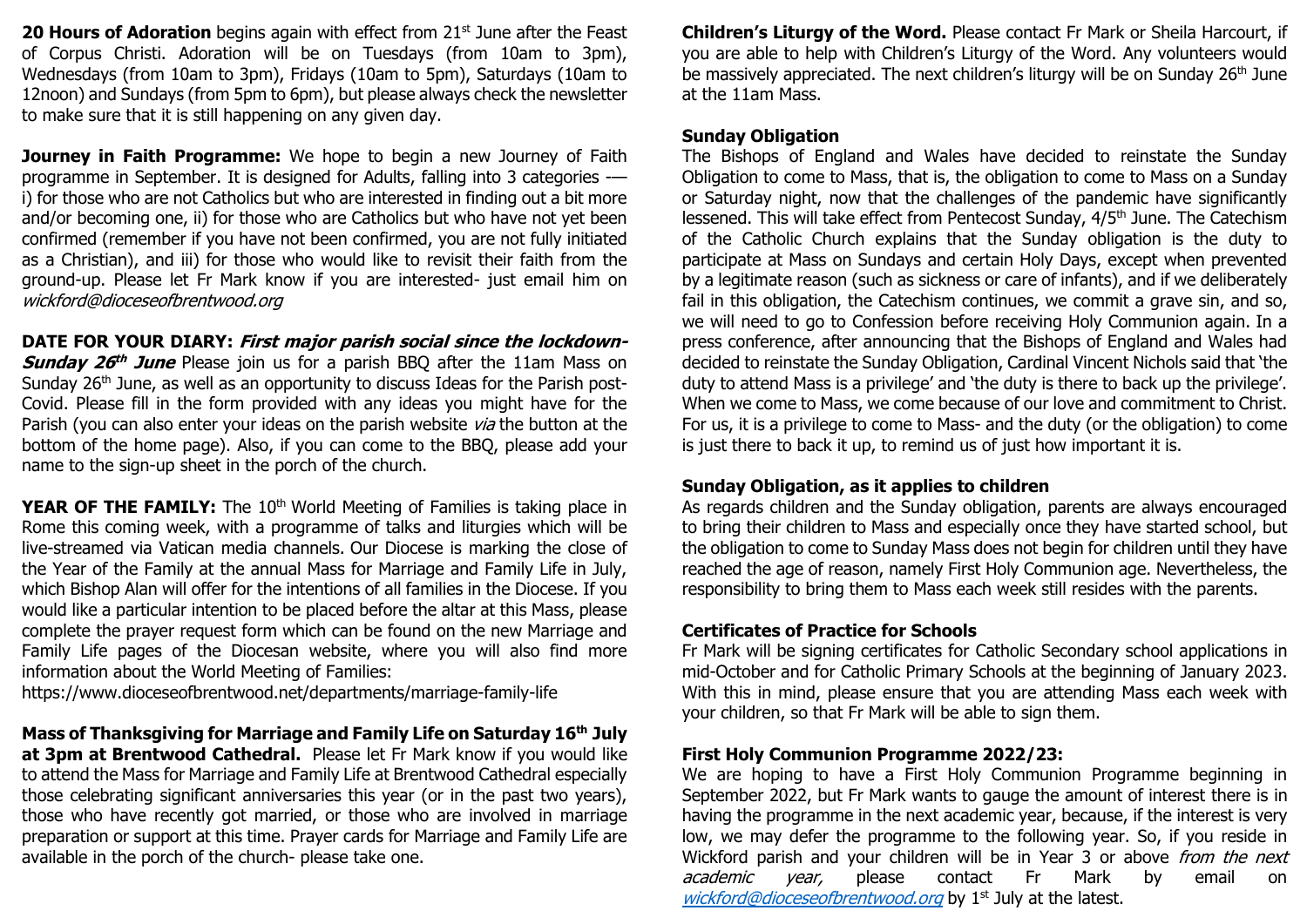**20 Hours of Adoration** begins again with effect from 21<sup>st</sup> June after the Feast of Corpus Christi. Adoration will be on Tuesdays (from 10am to 3pm), Wednesdays (from 10am to 3pm), Fridays (10am to 5pm), Saturdays (10am to 12noon) and Sundays (from 5pm to 6pm), but please always check the newsletter to make sure that it is still happening on any given day.

**Journey in Faith Programme:** We hope to begin a new Journey of Faith programme in September. It is designed for Adults, falling into 3 categories - i) for those who are not Catholics but who are interested in finding out a bit more and/or becoming one, ii) for those who are Catholics but who have not yet been confirmed (remember if you have not been confirmed, you are not fully initiated as a Christian), and iii) for those who would like to revisit their faith from the ground-up. Please let Fr Mark know if you are interested- just email him on wickford@dioceseofbrentwood.org

#### **DATE FOR YOUR DIARY: First major parish social since the lockdown-**

**Sunday 26 th June** Please join us for a parish BBQ after the 11am Mass on Sunday 26<sup>th</sup> June, as well as an opportunity to discuss Ideas for the Parish post-Covid. Please fill in the form provided with any ideas you might have for the Parish (you can also enter your ideas on the parish website *via* the button at the bottom of the home page). Also, if you can come to the BBQ, please add your name to the sign-up sheet in the porch of the church.

**YEAR OF THE FAMILY:** The 10<sup>th</sup> World Meeting of Families is taking place in Rome this coming week, with a programme of talks and liturgies which will be live-streamed via Vatican media channels. Our Diocese is marking the close of the Year of the Family at the annual Mass for Marriage and Family Life in July, which Bishop Alan will offer for the intentions of all families in the Diocese. If you would like a particular intention to be placed before the altar at this Mass, please complete the prayer request form which can be found on the new Marriage and Family Life pages of the Diocesan website, where you will also find more information about the World Meeting of Families:

[https://www.dioceseofbrentwood.net/departments/marriage-family-life](https://www.dioceseofbrentwood.net/departments/marriage-family-life/x-world-meeting-of-families/)

**Mass of Thanksgiving for Marriage and Family Life on Saturday 16th July at 3pm at Brentwood Cathedral.** Please let Fr Mark know if you would like to attend the Mass for Marriage and Family Life at Brentwood Cathedral especially those celebrating significant anniversaries this year (or in the past two years), those who have recently got married, or those who are involved in marriage preparation or support at this time. Prayer cards for Marriage and Family Life are available in the porch of the church- please take one.

**Children's Liturgy of the Word.** Please contact Fr Mark or Sheila Harcourt, if you are able to help with Children's Liturgy of the Word. Any volunteers would be massively appreciated. The next children's liturgy will be on Sunday 26<sup>th</sup> June at the 11am Mass.

#### **Sunday Obligation**

The Bishops of England and Wales have decided to reinstate the Sunday Obligation to come to Mass, that is, the obligation to come to Mass on a Sunday or Saturday night, now that the challenges of the pandemic have significantly lessened. This will take effect from Pentecost Sunday,  $4/5<sup>th</sup>$  June. The Catechism of the Catholic Church explains that the Sunday obligation is the duty to participate at Mass on Sundays and certain Holy Days, except when prevented by a legitimate reason (such as sickness or care of infants), and if we deliberately fail in this obligation, the Catechism continues, we commit a grave sin, and so, we will need to go to Confession before receiving Holy Communion again. In a press conference, after announcing that the Bishops of England and Wales had decided to reinstate the Sunday Obligation, Cardinal Vincent Nichols said that 'the duty to attend Mass is a privilege' and 'the duty is there to back up the privilege'. When we come to Mass, we come because of our love and commitment to Christ. For us, it is a privilege to come to Mass- and the duty (or the obligation) to come is just there to back it up, to remind us of just how important it is.

# **Sunday Obligation, as it applies to children**

As regards children and the Sunday obligation, parents are always encouraged to bring their children to Mass and especially once they have started school, but the obligation to come to Sunday Mass does not begin for children until they have reached the age of reason, namely First Holy Communion age. Nevertheless, the responsibility to bring them to Mass each week still resides with the parents.

#### **Certificates of Practice for Schools**

Fr Mark will be signing certificates for Catholic Secondary school applications in mid-October and for Catholic Primary Schools at the beginning of January 2023. With this in mind, please ensure that you are attending Mass each week with your children, so that Fr Mark will be able to sign them.

# **First Holy Communion Programme 2022/23:**

We are hoping to have a First Holy Communion Programme beginning in September 2022, but Fr Mark wants to gauge the amount of interest there is in having the programme in the next academic year, because, if the interest is very low, we may defer the programme to the following year. So, if you reside in Wickford parish and your children will be in Year 3 or above from the next academic year, please contact Fr Mark by email on [wickford@dioceseofbrentwood.org](mailto:wickford@dioceseofbrentwood.org) by 1<sup>st</sup> July at the latest.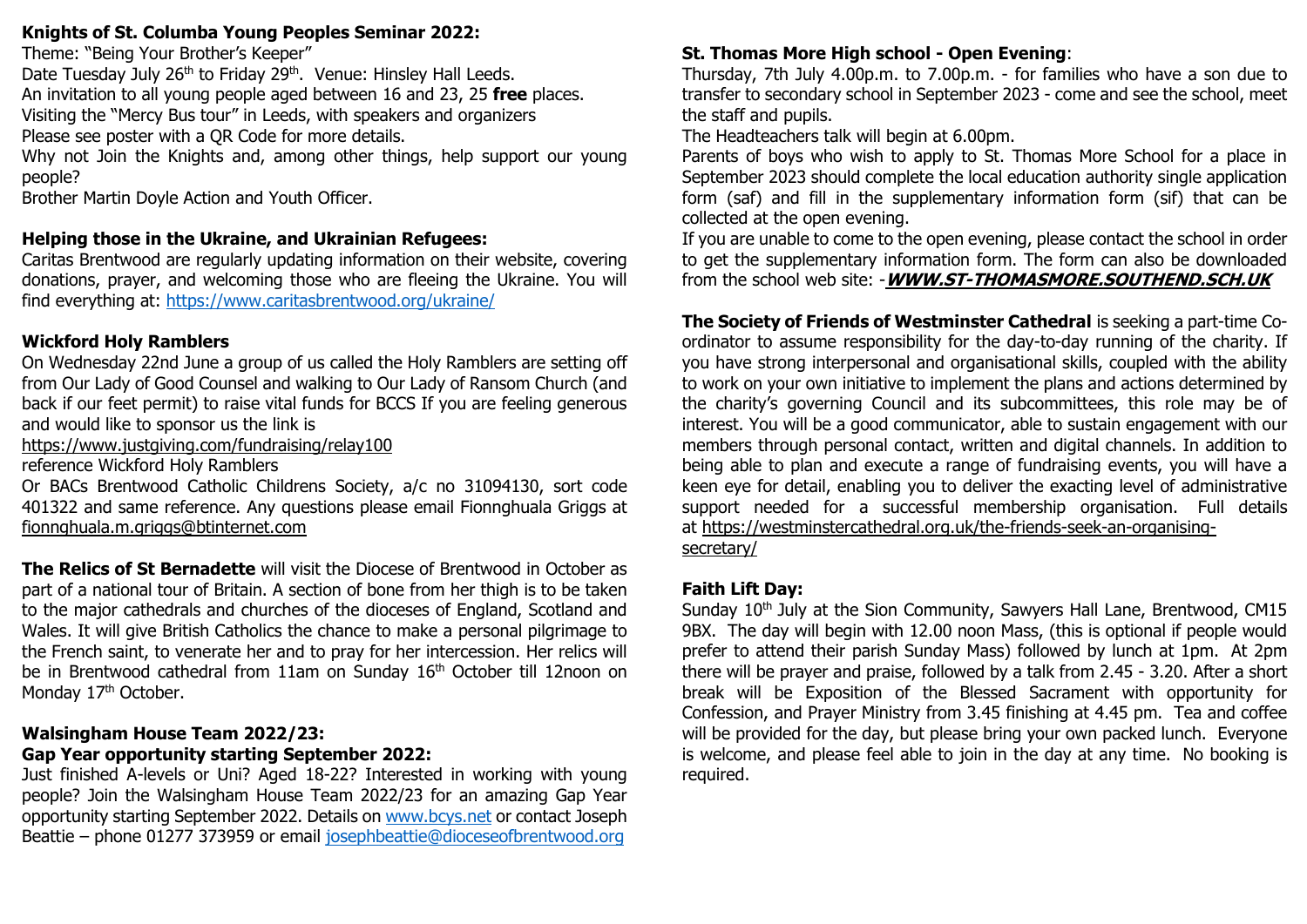#### **Knights of St. Columba Young Peoples Seminar 2022:**

Theme: "Being Your Brother's Keeper"

Date Tuesday July 26<sup>th</sup> to Friday 29<sup>th</sup>. Venue: Hinsley Hall Leeds.

An invitation to all young people aged between 16 and 23, 25 **free** places.

Visiting the "Mercy Bus tour" in Leeds, with speakers and organizers

Please see poster with a QR Code for more details.

Why not Join the Knights and, among other things, help support our young people?

Brother Martin Doyle Action and Youth Officer.

# **Helping those in the Ukraine, and Ukrainian Refugees:**

Caritas Brentwood are regularly updating information on their website, covering donations, prayer, and welcoming those who are fleeing the Ukraine. You will find everything at:<https://www.caritasbrentwood.org/ukraine/>

# **Wickford Holy Ramblers**

On Wednesday 22nd June a group of us called the Holy Ramblers are setting off from Our Lady of Good Counsel and walking to Our Lady of Ransom Church (and back if our feet permit) to raise vital funds for BCCS If you are feeling generous and would like to sponsor us the link is

<https://www.justgiving.com/fundraising/relay100>

reference Wickford Holy Ramblers

Or BACs Brentwood Catholic Childrens Society, a/c no 31094130, sort code 401322 and same reference. Any questions please email Fionnghuala Griggs at [fionnghuala.m.griggs@btinternet.com](mailto:fionnghuala.m.griggs@btinternet.com)

**The Relics of St Bernadette** will visit the Diocese of Brentwood in October as part of a national tour of Britain. A section of bone from her thigh is to be taken to the major cathedrals and churches of the dioceses of England, Scotland and Wales. It will give British Catholics the chance to make a personal pilgrimage to the French saint, to venerate her and to pray for her intercession. Her relics will be in Brentwood cathedral from 11am on Sunday 16<sup>th</sup> October till 12noon on Monday 17<sup>th</sup> October.

# **Walsingham House Team 2022/23:**

# **Gap Year opportunity starting September 2022:**

Just finished A-levels or Uni? Aged 18-22? Interested in working with young people? Join the Walsingham House Team 2022/23 for an amazing Gap Year opportunity starting September 2022. Details on [www.bcys.net](http://www.bcys.net/) or contact Joseph Beattie – phone 01277 373959 or email [josephbeattie@dioceseofbrentwood.org](mailto:josephbeattie@dioceseofbrentwood.org)

# **St. Thomas More High school - Open Evening**:

Thursday, 7th July 4.00p.m. to 7.00p.m. - for families who have a son due to transfer to secondary school in September 2023 - come and see the school, meet the staff and pupils.

The Headteachers talk will begin at 6.00pm.

Parents of boys who wish to apply to St. Thomas More School for a place in September 2023 should complete the local education authority single application form (saf) and fill in the supplementary information form (sif) that can be collected at the open evening.

If you are unable to come to the open evening, please contact the school in order to get the supplementary information form. The form can also be downloaded from the school web site: -**[WWW.ST-THOMASMORE.SOUTHEND.SCH.UK](http://www.st-thomasmore.southend.sch.uk/)**

**The Society of Friends of Westminster Cathedral** is seeking a part-time Coordinator to assume responsibility for the day-to-day running of the charity. If you have strong interpersonal and organisational skills, coupled with the ability to work on your own initiative to implement the plans and actions determined by the charity's governing Council and its subcommittees, this role may be of interest. You will be a good communicator, able to sustain engagement with our members through personal contact, written and digital channels. In addition to being able to plan and execute a range of fundraising events, you will have a keen eye for detail, enabling you to deliver the exacting level of administrative support needed for a successful membership organisation. Full details at [https://westminstercathedral.org.uk/the-friends-seek-an-organising](https://westminstercathedral.org.uk/the-friends-seek-an-organising-secretary/)[secretary/](https://westminstercathedral.org.uk/the-friends-seek-an-organising-secretary/)

# **Faith Lift Day:**

Sunday 10<sup>th</sup> July at the Sion Community, Sawyers Hall Lane, Brentwood, CM15 9BX. The day will begin with 12.00 noon Mass, (this is optional if people would prefer to attend their parish Sunday Mass) followed by lunch at 1pm. At 2pm there will be prayer and praise, followed by a talk from 2.45 - 3.20. After a short break will be Exposition of the Blessed Sacrament with opportunity for Confession, and Prayer Ministry from 3.45 finishing at 4.45 pm. Tea and coffee will be provided for the day, but please bring your own packed lunch. Everyone is welcome, and please feel able to join in the day at any time. No booking is required.